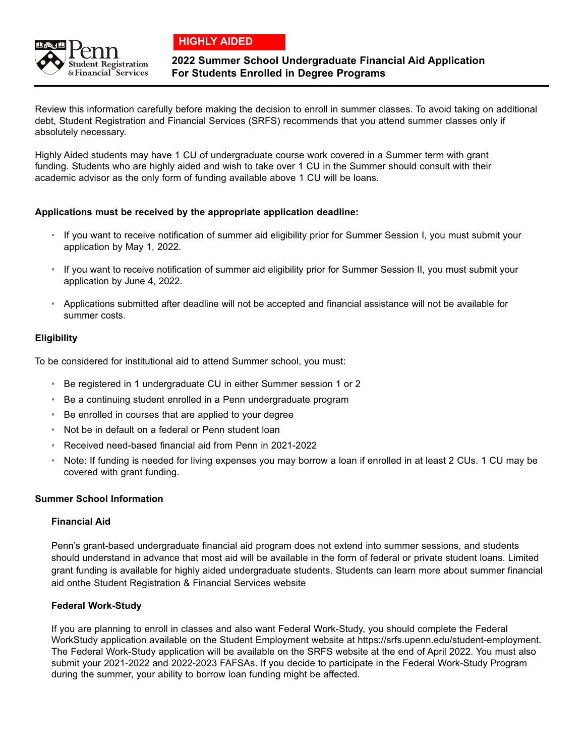

 **HIGHLY AIDED**

# **2022 Summer School Undergraduate Financial Aid Application For Students Enrolled in Degree Programs**

Review this information carefully before making the decision to enroll in summer classes. To avoid taking on additional debt, Student Registration and Financial Services (SRFS) recommends that you attend summer classes only if absolutely necessary.

Highly Aided students may have 1 CU of undergraduate course work covered in a Summer term with grant funding. Students who are highly aided and wish to take over 1 CU in the Summer should consult with their academic advisor as the only form of funding available above 1 CU will be loans.

## **Applications must be received by the appropriate application deadline:**

- If you want to receive notification of summer aid eligibility prior for Summer Session I, you must submit your application by May 1, 2022.
- If you want to receive notification of summer aid eligibility prior for Summer Session II, you must submit your application by June 4, 2022.
- Applications submitted after deadline will not be accepted and financial assistance will not be available for summer costs.

## **Eligibility**

To be considered for institutional aid to attend Summer school, you must:

- Be registered in 1 undergraduate CU in either Summer session 1 or 2
- Be a continuing student enrolled in a Penn undergraduate program
- Be enrolled in courses that are applied to your degree
- Not be in default on a federal or Penn student loan
- Received need-based financial aid from Penn in 2021-2022
- Note: If funding is needed for living expenses you may borrow a loan if enrolled in at least 2 CUs. 1 CU may be covered with grant funding.

## **Summer School Information**

## **Financial Aid**

 Penn's grant-based undergraduate financial aid program does not extend into summer sessions, and students should understand in advance that most aid will be available in the form of federal or private student loans. Limited grant funding is available for highly aided undergraduate students. Students can learn more about summer financial aid onthe Student Registration & Financial Services website

## **Federal Work-Study**

 If you are planning to enroll in classes and also want Federal Work-Study, you should complete the Federal WorkStudy application available on the Student Employment website at https://srfs.upenn.edu/student-employment. The Federal Work-Study application will be available on the SRFS website at the end of April 2022. You must also submit your 2021-2022 and 2022-2023 FAFSAs. If you decide to participate in the Federal Work-Study Program during the summer, your ability to borrow loan funding might be affected.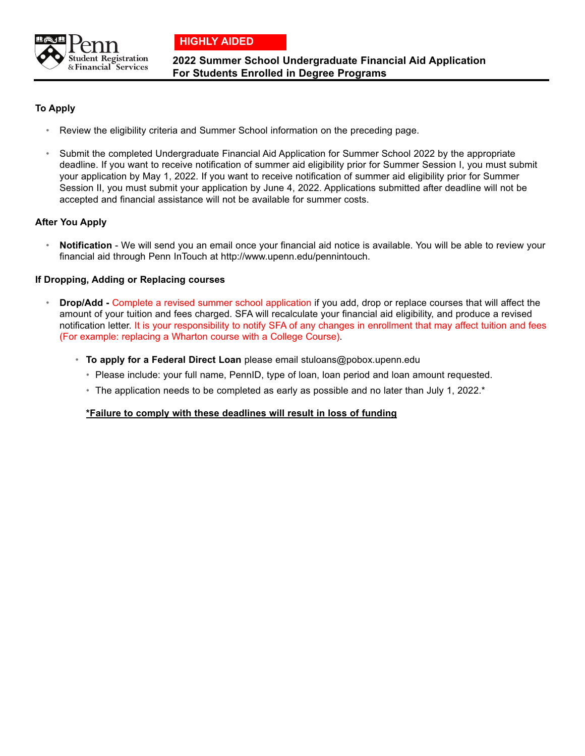



**2022 Summer School Undergraduate Financial Aid Application For Students Enrolled in Degree Programs**

## **To Apply**

- Review the eligibility criteria and Summer School information on the preceding page.
- Submit the completed Undergraduate Financial Aid Application for Summer School 2022 by the appropriate deadline. If you want to receive notification of summer aid eligibility prior for Summer Session I, you must submit your application by May 1, 2022. If you want to receive notification of summer aid eligibility prior for Summer Session II, you must submit your application by June 4, 2022. Applications submitted after deadline will not be accepted and financial assistance will not be available for summer costs.

## **After You Apply**

• **Notification** - We will send you an email once your financial aid notice is available. You will be able to review your financial aid through Penn InTouch at http://www.upenn.edu/pennintouch.

#### **If Dropping, Adding or Replacing courses**

- **Drop/Add -** Complete a revised summer school application if you add, drop or replace courses that will affect the amount of your tuition and fees charged. SFA will recalculate your financial aid eligibility, and produce a revised notification letter. It is your responsibility to notify SFA of any changes in enrollment that may affect tuition and fees (For example: replacing a Wharton course with a College Course).
	- **To apply for a Federal Direct Loan** please email stuloans@pobox.upenn.edu
		- Please include: your full name, PennID, type of loan, loan period and loan amount requested.
		- The application needs to be completed as early as possible and no later than July 1, 2022.<sup>\*</sup>

#### **\*Failure to comply with these deadlines will result in loss of funding**